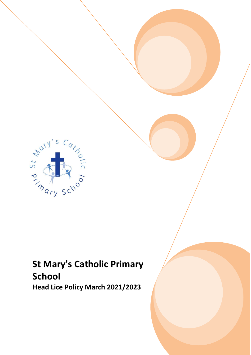

# **St Mary's Catholic Primary School**

**Head Lice Policy March 2021/2023**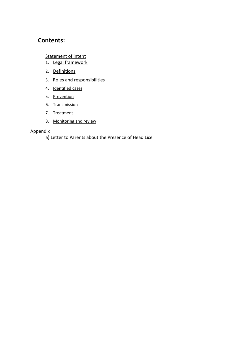# **Contents:**

# [Statement of intent](#page-2-0)

- 1. [Legal framework](#page-3-0)
- 2. [Definitions](#page-3-1)
- 3. [Roles and responsibilities](#page-3-2)
- 4. [Identified cases](#page-4-0)
- 5. [Prevention](#page-5-0)
- 6. [Transmission](#page-5-1)
- 7. [Treatment](#page-6-0)
- 8. [Monitoring and review](#page-7-0)

#### Appendix

#### a) [Letter to Parents about the Presence of Head Lice](#page-8-0)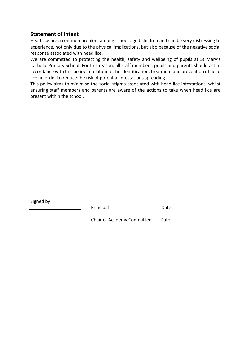## <span id="page-2-0"></span>**Statement of intent**

Head lice are a common problem among school-aged children and can be very distressing to experience, not only due to the physical implications, but also because of the negative social response associated with head lice.

We are committed to protecting the health, safety and wellbeing of pupils at St Mary's Catholic Primary School. For this reason, all staff members, pupils and parents should act in accordance with this policy in relation to the identification, treatment and prevention of head lice, in order to reduce the risk of potential infestations spreading.

This policy aims to minimise the social stigma associated with head lice infestations, whilst ensuring staff members and parents are aware of the actions to take when head lice are present within the school.

| Signed by: |  |
|------------|--|
|------------|--|

| Principal | Date: |
|-----------|-------|
|           |       |

Chair of Academy Committee Date: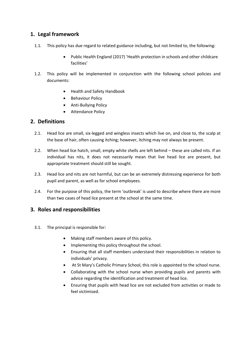# <span id="page-3-0"></span>**1. Legal framework**

- 1.1. This policy has due regard to related guidance including, but not limited to, the following:
	- Public Health England (2017) 'Health protection in schools and other childcare facilities'
- 1.2. This policy will be implemented in conjunction with the following school policies and documents:
	- Health and Safety Handbook
	- Behaviour Policy
	- Anti-Bullying Policy
	- Attendance Policy

#### <span id="page-3-1"></span>**2. Definitions**

- 2.1. Head lice are small, six-legged and wingless insects which live on, and close to, the scalp at the base of hair, often causing itching; however, itching may not always be present.
- 2.2. When head lice hatch, small, empty white shells are left behind these are called nits. If an individual has nits, it does not necessarily mean that live head lice are present, but appropriate treatment should still be sought.
- 2.3. Head lice and nits are not harmful, but can be an extremely distressing experience for both pupil and parent, as well as for school employees.
- 2.4. For the purpose of this policy, the term 'outbreak' is used to describe where there are more than two cases of head lice present at the school at the same time.

#### <span id="page-3-2"></span>**3. Roles and responsibilities**

- 3.1. The principal is responsible for:
	- Making staff members aware of this policy.
	- Implementing this policy throughout the school.
	- Ensuring that all staff members understand their responsibilities in relation to individuals' privacy.
	- At St Mary's Catholic Primary School, this role is appointed to the school nurse.
	- Collaborating with the school nurse when providing pupils and parents with advice regarding the identification and treatment of head lice.
	- Ensuring that pupils with head lice are not excluded from activities or made to feel victimised.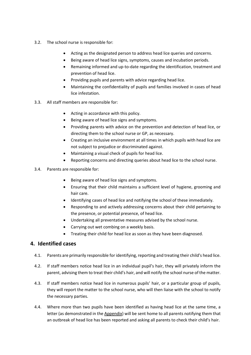- 3.2. The school nurse is responsible for:
	- Acting as the designated person to address head lice queries and concerns.
	- Being aware of head lice signs, symptoms, causes and incubation periods.
	- Remaining informed and up-to-date regarding the identification, treatment and prevention of head lice.
	- Providing pupils and parents with advice regarding head lice.
	- Maintaining the confidentiality of pupils and families involved in cases of head lice infestation.
- 3.3. All staff members are responsible for:
	- Acting in accordance with this policy.
	- Being aware of head lice signs and symptoms.
	- Providing parents with advice on the prevention and detection of head lice, or directing them to the school nurse or GP, as necessary.
	- Creating an inclusive environment at all times in which pupils with head lice are not subject to prejudice or discriminated against.
	- Maintaining a visual check of pupils for head lice.
	- Reporting concerns and directing queries about head lice to the school nurse.
- 3.4. Parents are responsible for:
	- Being aware of head lice signs and symptoms.
	- Ensuring that their child maintains a sufficient level of hygiene, grooming and hair care.
	- Identifying cases of head lice and notifying the school of these immediately.
	- Responding to and actively addressing concerns about their child pertaining to the presence, or potential presence, of head lice.
	- Undertaking all preventative measures advised by the school nurse.
	- Carrying out wet combing on a weekly basis.
	- Treating their child for head lice as soon as they have been diagnosed.

#### <span id="page-4-0"></span>**4. Identified cases**

- 4.1. Parents are primarily responsible for identifying, reporting and treating their child's head lice.
- 4.2. If staff members notice head lice in an individual pupil's hair, they will privately inform the parent, advising them to treat their child's hair, and will notify the school nurse of the matter.
- 4.3. If staff members notice head lice in numerous pupils' hair, or a particular group of pupils, they will report the matter to the school nurse, who will then liaise with the school to notify the necessary parties.
- 4.4. Where more than two pupils have been identified as having head lice at the same time, a letter (as demonstrated in th[e Appendix\)](#page-8-0) will be sent home to all parents notifying them that an outbreak of head lice has been reported and asking all parents to check their child's hair.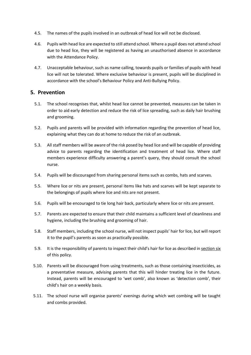- 4.5. The names of the pupils involved in an outbreak of head lice will not be disclosed.
- 4.6. Pupils with head lice are expected to still attend school. Where a pupil does not attend school due to head lice, they will be registered as having an unauthorised absence in accordance with the Attendance Policy.
- 4.7. Unacceptable behaviour, such as name calling, towards pupils or families of pupils with head lice will not be tolerated. Where exclusive behaviour is present, pupils will be disciplined in accordance with the school's Behaviour Policy and Anti-Bullying Policy.

#### <span id="page-5-0"></span>**5. Prevention**

- 5.1. The school recognises that, whilst head lice cannot be prevented, measures can be taken in order to aid early detection and reduce the risk of lice spreading, such as daily hair brushing and grooming.
- 5.2. Pupils and parents will be provided with information regarding the prevention of head lice, explaining what they can do at home to reduce the risk of an outbreak.
- 5.3. All staff members will be aware of the risk posed by head lice and will be capable of providing advice to parents regarding the identification and treatment of head lice. Where staff members experience difficulty answering a parent's query, they should consult the school nurse.
- 5.4. Pupils will be discouraged from sharing personal items such as combs, hats and scarves.
- 5.5. Where lice or nits are present, personal items like hats and scarves will be kept separate to the belongings of pupils where lice and nits are not present.
- 5.6. Pupils will be encouraged to tie long hair back, particularly where lice or nits are present.
- 5.7. Parents are expected to ensure that their child maintains a sufficient level of cleanliness and hygiene, including the brushing and grooming of hair.
- 5.8. Staff members, including the school nurse, will not inspect pupils' hair for lice, but will report it to the pupil's parents as soon as practically possible.
- 5.9. It is the responsibility of parents to inspect their child's hair for lice as described in [section six](#page-5-1) of this policy.
- 5.10. Parents will be discouraged from using treatments, such as those containing insecticides, as a preventative measure, advising parents that this will hinder treating lice in the future. Instead, parents will be encouraged to 'wet comb', also known as 'detection comb', their child's hair on a weekly basis.
- <span id="page-5-1"></span>5.11. The school nurse will organise parents' evenings during which wet combing will be taught and combs provided.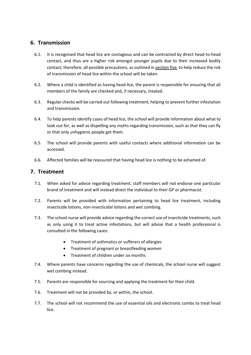### **6. Transmission**

- 6.1. It is recognised that head lice are contagious and can be contracted by direct head-to-head contact, and thus are a higher risk amongst younger pupils due to their increased bodily contact; therefore, all possible precautions, as outlined i[n section five,](#page-5-0) to help reduce the risk of transmission of head lice within the school will be taken.
- 6.2. Where a child is identified as having head lice, the parent is responsible for ensuring that all members of the family are checked and, if necessary, treated.
- 6.3. Regular checks will be carried out following treatment, helping to prevent further infestation and transmission.
- 6.4. To help parents identify cases of head lice, the school will provide information about what to look out for, as well as dispelling any myths regarding transmission, such as that they can fly or that only unhygienic people get them.
- 6.5. The school will provide parents with useful contacts where additional information can be accessed.
- 6.6. Affected families will be reassured that having head lice is nothing to be ashamed of.

#### <span id="page-6-0"></span>**7. Treatment**

- 7.1. When asked for advice regarding treatment, staff members will not endorse one particular brand of treatment and will instead direct the individual to their GP or pharmacist.
- 7.2. Parents will be provided with information pertaining to head lice treatment, including insecticide lotions, non-insecticidal lotions and wet combing.
- 7.3. The school nurse will provide advice regarding the correct use of insecticide treatments, such as only using it to treat active infestations, but will advise that a health professional is consulted in the following cases:
	- Treatment of asthmatics or sufferers of allergies
	- Treatment of pregnant or breastfeeding women
	- Treatment of children under six months
- 7.4. Where parents have concerns regarding the use of chemicals, the school nurse will suggest wet combing instead.
- 7.5. Parents are responsible for sourcing and applying the treatment for their child.
- 7.6. Treatment will not be provided by, or within, the school.
- 7.7. The school will not recommend the use of essential oils and electronic combs to treat head lice.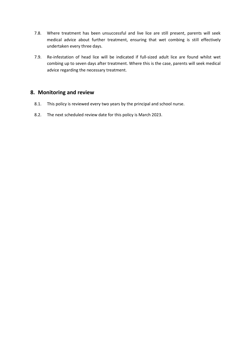- 7.8. Where treatment has been unsuccessful and live lice are still present, parents will seek medical advice about further treatment, ensuring that wet combing is still effectively undertaken every three days.
- 7.9. Re-infestation of head lice will be indicated if full-sized adult lice are found whilst wet combing up to seven days after treatment. Where this is the case, parents will seek medical advice regarding the necessary treatment.

# <span id="page-7-0"></span>**8. Monitoring and review**

- 8.1. This policy is reviewed every two years by the principal and school nurse.
- 8.2. The next scheduled review date for this policy is March 2023.